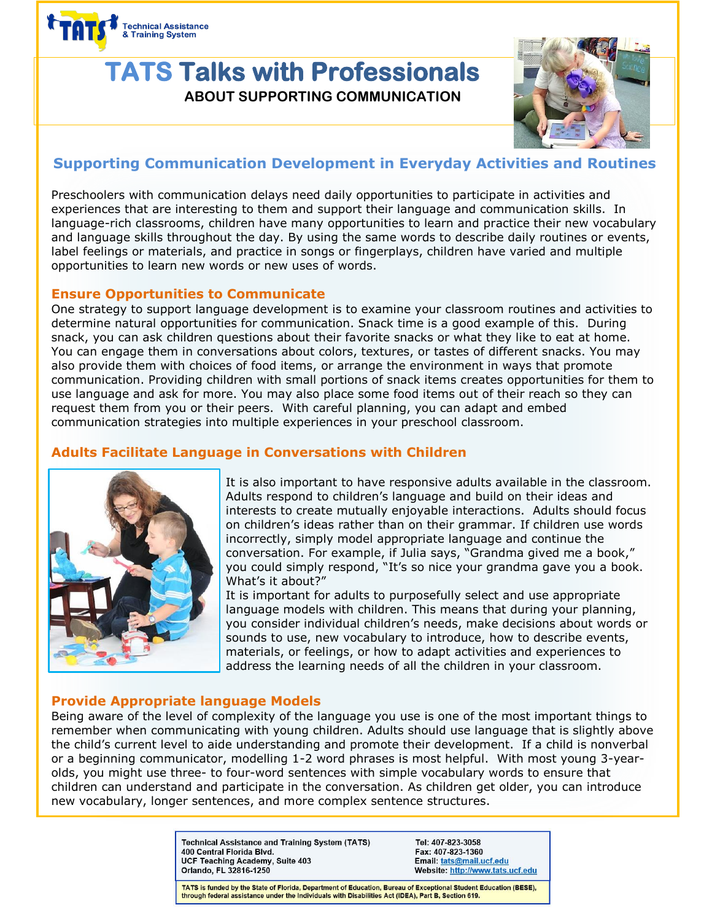

# **TATS Talks with Professionals ABOUT SUPPORTING COMMUNICATION**



# **Supporting Communication Development in Everyday Activities and Routines**

Preschoolers with communication delays need daily opportunities to participate in activities and experiences that are interesting to them and support their language and communication skills. In language-rich classrooms, children have many opportunities to learn and practice their new vocabulary and language skills throughout the day. By using the same words to describe daily routines or events, label feelings or materials, and practice in songs or fingerplays, children have varied and multiple opportunities to learn new words or new uses of words.

#### **Ensure Opportunities to Communicate**

One strategy to support language development is to examine your classroom routines and activities to determine natural opportunities for communication. Snack time is a good example of this. During snack, you can ask children questions about their favorite snacks or what they like to eat at home. You can engage them in conversations about colors, textures, or tastes of different snacks. You may also provide them with choices of food items, or arrange the environment in ways that promote communication. Providing children with small portions of snack items creates opportunities for them to use language and ask for more. You may also place some food items out of their reach so they can request them from you or their peers. With careful planning, you can adapt and embed communication strategies into multiple experiences in your preschool classroom.

## **Adults Facilitate Language in Conversations with Children**



It is also important to have responsive adults available in the classroom. Adults respond to children's language and build on their ideas and interests to create mutually enjoyable interactions. Adults should focus on children's ideas rather than on their grammar. If children use words incorrectly, simply model appropriate language and continue the conversation. For example, if Julia says, "Grandma gived me a book," you could simply respond, "It's so nice your grandma gave you a book. What's it about?"

It is important for adults to purposefully select and use appropriate language models with children. This means that during your planning, you consider individual children's needs, make decisions about words or sounds to use, new vocabulary to introduce, how to describe events, materials, or feelings, or how to adapt activities and experiences to address the learning needs of all the children in your classroom.

### **Provide Appropriate language Models**

Being aware of the level of complexity of the language you use is one of the most important things to remember when communicating with young children. Adults should use language that is slightly above the child's current level to aide understanding and promote their development. If a child is nonverbal or a beginning communicator, modelling 1-2 word phrases is most helpful. With most young 3-yearolds, you might use three- to four-word sentences with simple vocabulary words to ensure that children can understand and participate in the conversation. As children get older, you can introduce new vocabulary, longer sentences, and more complex sentence structures.

> **Technical Assistance and Training System (TATS)** 400 Central Florida Blvd. UCF Teaching Academy, Suite 403 Orlando, FL 32816-1250

Tel: 407-823-3058 Fax: 407-823-1360 Email: tats@mail.ucf.edu Website: http://www.tats.ucf.edu

TATS is funded by the State of Florida, Department of Education, Bureau of Exceptional Student Education (BESE), through federal assistance under the Individuals with Disabilities Act (IDEA), Part B, Section 619.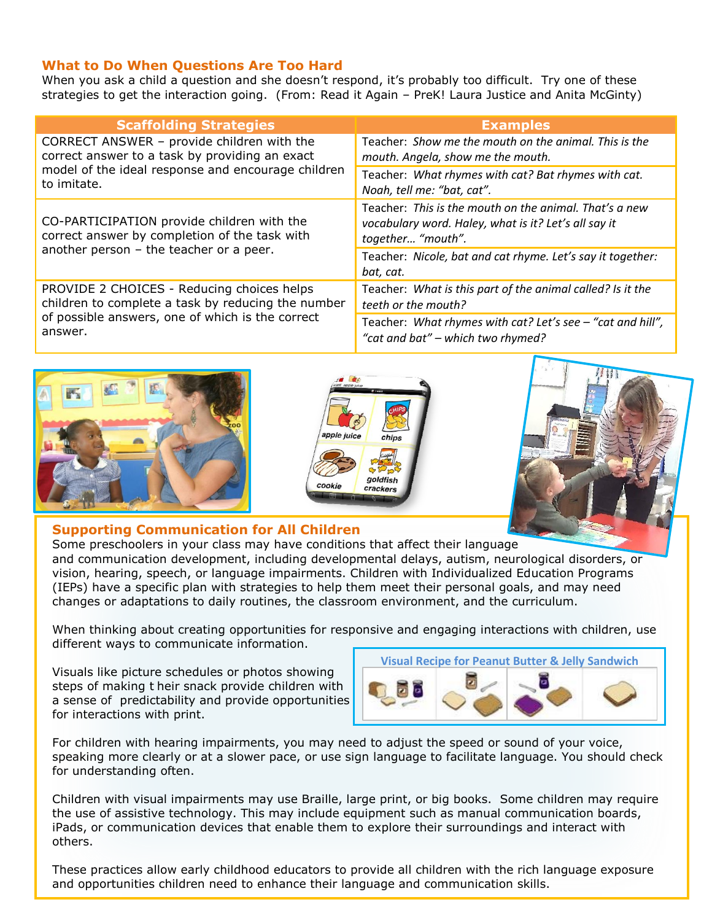#### **What to Do When Questions Are Too Hard**

When you ask a child a question and she doesn't respond, it's probably too difficult. Try one of these strategies to get the interaction going. (From: Read it Again – PreK! Laura Justice and Anita McGinty)

| <b>Scaffolding Strategies</b>                                                                                                                                     | <b>Examples</b>                                                                                                                     |
|-------------------------------------------------------------------------------------------------------------------------------------------------------------------|-------------------------------------------------------------------------------------------------------------------------------------|
| CORRECT ANSWER - provide children with the<br>correct answer to a task by providing an exact<br>model of the ideal response and encourage children<br>to imitate. | Teacher: Show me the mouth on the animal. This is the                                                                               |
|                                                                                                                                                                   | mouth. Angela, show me the mouth.                                                                                                   |
|                                                                                                                                                                   | Teacher: What rhymes with cat? Bat rhymes with cat.                                                                                 |
|                                                                                                                                                                   | Noah, tell me: "bat, cat".                                                                                                          |
| CO-PARTICIPATION provide children with the<br>correct answer by completion of the task with<br>another person - the teacher or a peer.                            | Teacher: This is the mouth on the animal. That's a new<br>vocabulary word. Haley, what is it? Let's all say it<br>together "mouth". |
|                                                                                                                                                                   | Teacher: Nicole, bat and cat rhyme. Let's say it together:<br>bat, cat.                                                             |
| PROVIDE 2 CHOICES - Reducing choices helps<br>children to complete a task by reducing the number<br>of possible answers, one of which is the correct<br>answer.   | Teacher: What is this part of the animal called? Is it the<br>teeth or the mouth?                                                   |
|                                                                                                                                                                   | Teacher: What rhymes with cat? Let's see - "cat and hill",<br>"cat and bat" - which two rhymed?                                     |







#### **Supporting Communication for All Children**

Some preschoolers in your class may have conditions that affect their language and communication development, including developmental delays, autism, neurological disorders, or vision, hearing, speech, or language impairments. Children with Individualized Education Programs (IEPs) have a specific plan with strategies to help them meet their personal goals, and may need changes or adaptations to daily routines, the classroom environment, and the curriculum.

When thinking about creating opportunities for responsive and engaging interactions with children, use different ways to communicate information.

Visuals like picture schedules or photos showing steps of making t heir snack provide children with a sense of predictability and provide opportunities for interactions with print.



For children with hearing impairments, you may need to adjust the speed or sound of your voice, speaking more clearly or at a slower pace, or use sign language to facilitate language. You should check for understanding often.

Children with visual impairments may use Braille, large print, or big books. Some children may require the use of assistive technology. This may include equipment such as manual communication boards, iPads, or communication devices that enable them to explore their surroundings and interact with others.

These practices allow early childhood educators to provide all children with the rich language exposure and opportunities children need to enhance their language and communication skills.